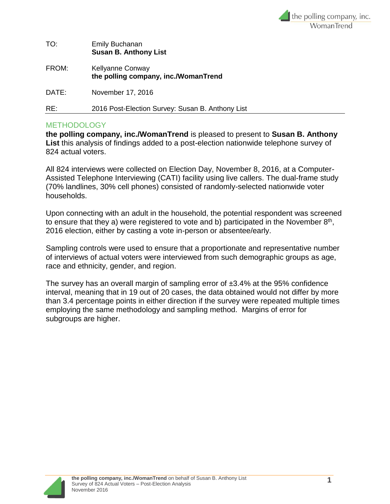

| TO:   | <b>Emily Buchanan</b><br><b>Susan B. Anthony List</b>    |
|-------|----------------------------------------------------------|
| FROM: | Kellyanne Conway<br>the polling company, inc./WomanTrend |
| DATE: | November 17, 2016                                        |
| RE:   | 2016 Post-Election Survey: Susan B. Anthony List         |

## **METHODOLOGY**

**the polling company, inc./WomanTrend** is pleased to present to **Susan B. Anthony List** this analysis of findings added to a post-election nationwide telephone survey of 824 actual voters.

All 824 interviews were collected on Election Day, November 8, 2016, at a Computer-Assisted Telephone Interviewing (CATI) facility using live callers. The dual-frame study (70% landlines, 30% cell phones) consisted of randomly-selected nationwide voter households.

Upon connecting with an adult in the household, the potential respondent was screened to ensure that they a) were registered to vote and b) participated in the November  $8<sup>th</sup>$ , 2016 election, either by casting a vote in-person or absentee/early.

Sampling controls were used to ensure that a proportionate and representative number of interviews of actual voters were interviewed from such demographic groups as age, race and ethnicity, gender, and region.

The survey has an overall margin of sampling error of ±3.4% at the 95% confidence interval, meaning that in 19 out of 20 cases, the data obtained would not differ by more than 3.4 percentage points in either direction if the survey were repeated multiple times employing the same methodology and sampling method. Margins of error for subgroups are higher.

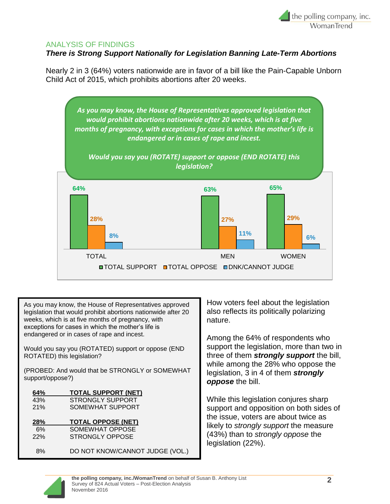

## ANALYSIS OF FINDINGS

## *There is Strong Support Nationally for Legislation Banning Late-Term Abortions*

Nearly 2 in 3 (64%) voters nationwide are in favor of a bill like the Pain-Capable Unborn Child Act of 2015, which prohibits abortions after 20 weeks.



As you may know, the House of Representatives approved legislation that would prohibit abortions nationwide after 20 weeks, which is at five months of pregnancy, with exceptions for cases in which the mother's life is endangered or in cases of rape and incest.

Would you say you (ROTATED) support or oppose (END ROTATED) this legislation?

(PROBED: And would that be STRONGLY or SOMEWHAT support/oppose?)

| 64% | <b>TOTAL SUPPORT (NET)</b>      |
|-----|---------------------------------|
| 43% | <b>STRONGLY SUPPORT</b>         |
| 21% | SOMEWHAT SUPPORT                |
|     |                                 |
| 28% | <b>TOTAL OPPOSE (NET)</b>       |
| 6%  | SOMEWHAT OPPOSE                 |
| 22% | <b>STRONGLY OPPOSE</b>          |
|     |                                 |
| 8%  | DO NOT KNOW/CANNOT JUDGE (VOL.) |

How voters feel about the legislation also reflects its politically polarizing nature.

Among the 64% of respondents who support the legislation, more than two in three of them *strongly support* the bill, while among the 28% who oppose the legislation, 3 in 4 of them *strongly oppose* the bill.

While this legislation conjures sharp support and opposition on both sides of the issue, voters are about twice as likely to *strongly support* the measure (43%) than to *strongly oppose* the legislation (22%).